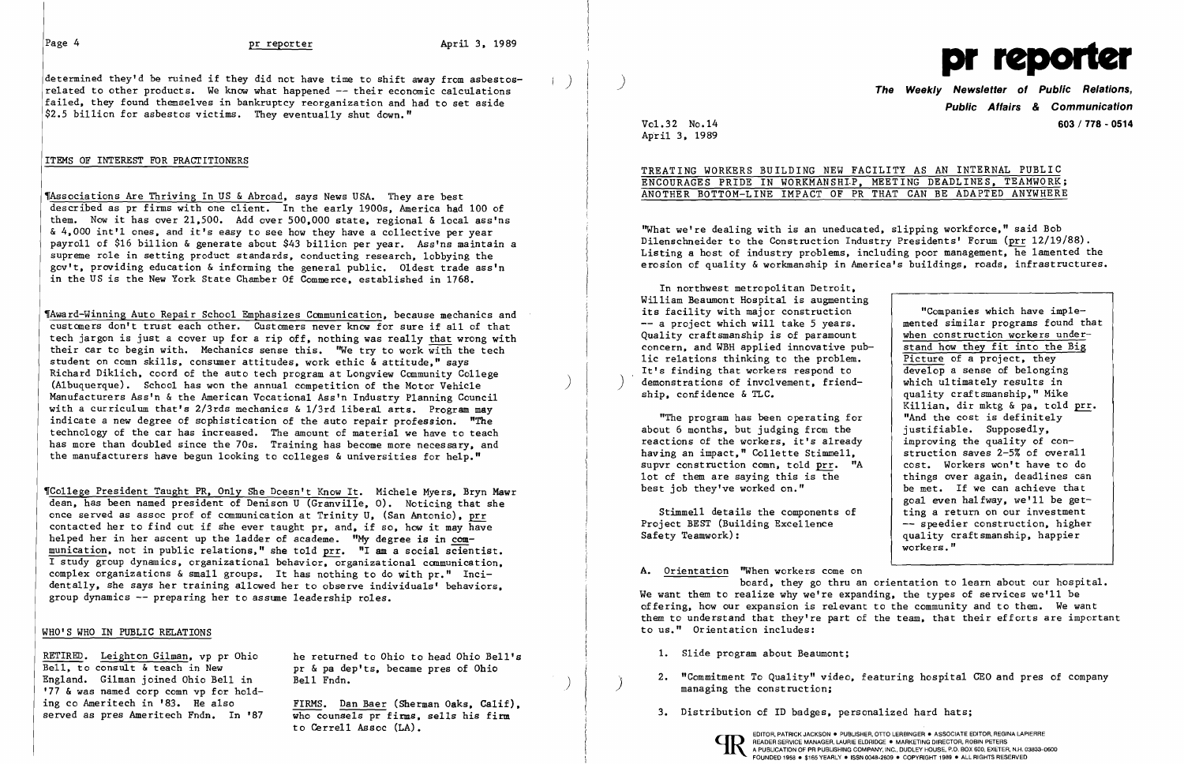determined they'd be ruined if they did not have time to shift away from asbestos-<br>related to other products. We know what happened -- their economic calculations failed, they found themselves in bankruptcy reorganization and had to set aside \$2.5 billion for asbestos victims. They eventually shut down."

### ITEMS OF INTEREST FOR PRACTITIONERS

'Associations Are Thriving In US & Abroad, says News USA. They are best described as pr firms with one client. In the early 1900s, America had 100 of them. Now it has over  $21,500$ . Add over  $500,000$  state, regional & local ass'ns & 4,000 int'l ones, and it's easy to see how they have a collective per year payroll of \$16 billion & generate about \$43 billion per year. Ass'ns maintain a supreme role in setting product standards, conducting research, lobbying the gov't, providing education & informing the general public. Oldest trade ass'n in the US is the New York State Chamber Of Commerce, established in 1768.

'Award-Winning Auto Repair School Emphasizes Communication, because mechanics and customers don't trust each other. Customers never know for sure if all of that tech jargon is just a cover up for a rip off, nothing was really that wrong with their car to begin with. Mechanics sense this. "We try to work with the tech student on comn skills, consumer attitudes, work ethic & attitude," says Richard Dik1ich. coord of the auto tech program at Longview Community College (Albuquerque). School has won the annual competition of the Motor Vehicle ) Manufacturers Ass'n & the American Vocational Ass'n Industry Planning Council with a curriculum that's 2/3rds mechanics & 1/3rd liberal arts. Program may indicate a new degree of sophistication of the auto repair profession. "The technology of the car has increased. The amount of material we have to teach has more than doubled since the 70s. Training has become more necessary, and the manufacturers have begun looking to colleges & universities for help."

## ENCOURAGES PRIDE IN WORKMANSHIP, MEETING DEADLINES, TEAMWORK; ANOTHER BOTTOM-LINE IMPACT OF PR THAT CAN BE ADAPTED ANYWHERE

"What we're dealing with is an uneducated, slipping workforce," said Bob Di1enschneider to the Construction Industry Presidents' Forum (prr 12/19/88). Listing a host of industry problems, including poor management, he lamented the erosion of quality & workmanship in America's buildings, roads, infrastructures.

,Co1lege President Taught PR, Only She Doesn't Know It. Michele Myers, Bryn Mawr dean, has been named president of Denison U (Granville, 0). Noticing that she once served as assoc prof of communication at Trinity U, (San Antonio), prr contacted her to find out if she ever taught pr, and, if so, how it may have helped her in her ascent up the ladder of academe. "My degree is in communication. not in public relations," she told prr. "I am a social scientist. I study group dynamics, organizational behavior, organizational communication, complex organizations & small groups. It has nothing to do with pr." Incidentally, she says her training allowed her to observe individuals' behaviors, group dynamics -- preparing her to assume leadership roles.

A. Orientation "When workers come on board, they go thru an orientation to learn about our hospital. We want them to realize why we're expanding, the types of services we'll be offering, how our expansion is relevant to the community and to them. We want them to understand that they're part of the team, that their efforts are important to us." Orientation includes:

### WHO'S WHO IN PUBLIC RELATIONS

RETIRED. Leighton Gilman, vp pr Ohio he returned to Ohio to head Ohio Bell's<br>Bell, to consult & teach in New or & pa dep'ts, became pres of Ohio Bell, to consult & teach in New pr & pa dep'ts, became pres of Ohio<br>England. Gilman joined Ohio Bell in Bell Fndn. England. Gilman joined Ohio Bell in Bell Fndn. (England. Gilman joined Ohio Bell in Bell Fndn. ) 2. "Commitment To Quality" video, featuring hospital CEO and pres of company ing construction; '77 & was named corp comn vp f '77 & was named corp comn vp for holding co Ameritech in '83. He also FIRMS. Dan Baer (Sherman Oaks, Calif), served as pres Ameritech Fndn. In '87 who counsels pr firms. sells his firm

3. Distribution of ID badges, personalized hard hats;<br>who counsels pr firms, sells his firm<br>to Cerrell Assoc (LA).



**Public Affairs & Communication**  Vol. 32 No.14 **603/778 - 0514** 

April 3, 1989

TREATING WORKERS BUILDING NEW FACILITY AS AN INTERNAL PUBLIC

In northwest metropolitan Detroit, William Beaumont Hospital is augmenting its facility with major construction<br>-- a project which will take 5 years. Quality craftsmanship is of paramount  $\begin{array}{|l|} \hline \text{when construction workers under-}\text{concern, and WBH applied innovative pub-} & \text{stand how they fit into the Big} \hline \end{array}$ concern, and WBH applied innovative pub-<br>lic relations thinking to the problem. Picture of a project, they 1ic relations thinking to the problem.<br>It's finding that workers respond to  $\frac{\text{Picture}}{\text{develop a sense of belonging}}$ It's finding that workers respond to demonstrations of involvement, friendship, conf idence & TLC.

"The program has been operating for about 6 months, but judging from the reactions of the workers, it's already having an impact," Collette Stimmell, supvr construction comn, told  $\frac{prr}{r}$ . "A cost. Workers won't have to do 1ot of them are saying this is the things over again, deadlines can lot of them are saying this is the best job they've worked on."

Project BEST (Building Excellence<br>Safety Teamwork):

 "Companies which have imple mented similar programs found that<br>when construction workers underwhich ultimately results in quality craftsmanship," Mike Killian, dir mktg & pa, told prr. "And the cost is definitely justifiable. Supposedly, improving the quality of construction saves 2-5% of overall<br>cost. Workers won't have to do be met. If we can achieve that goal even halfway, we'll be get-Stimme11 details the components of  $\left\{\begin{array}{c} \text{time} \\ \text{time} \\ \text{time} \end{array}\right.$  ting a return on our investment quality craftsmanship, happier workers."

- 1. Slide program about Beaumont;
- 
-